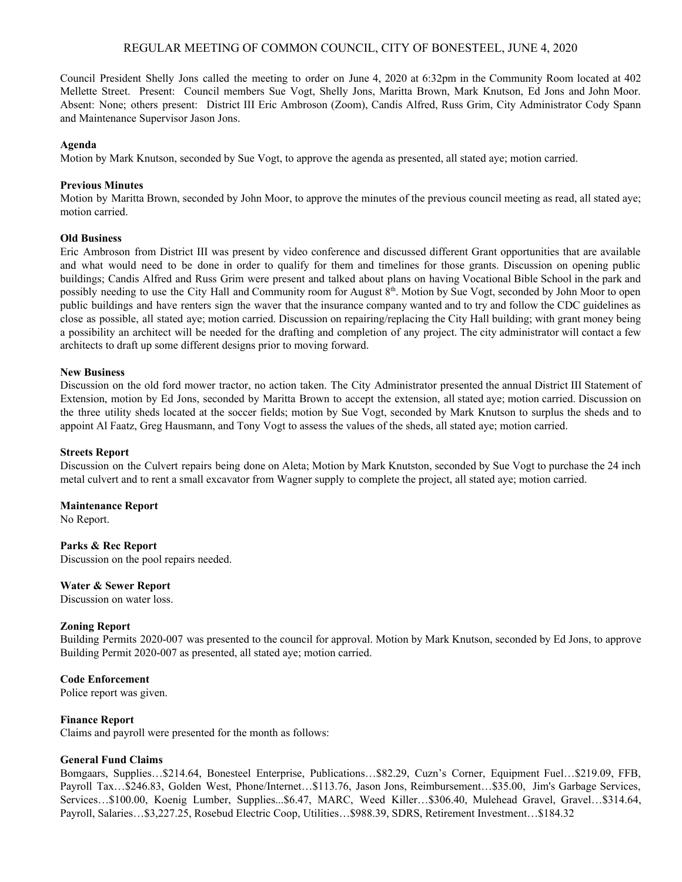# REGULAR MEETING OF COMMON COUNCIL, CITY OF BONESTEEL, JUNE 4, 2020

Council President Shelly Jons called the meeting to order on June 4, 2020 at 6:32pm in the Community Room located at 402 Mellette Street. Present: Council members Sue Vogt, Shelly Jons, Maritta Brown, Mark Knutson, Ed Jons and John Moor. Absent: None; others present: District III Eric Ambroson (Zoom), Candis Alfred, Russ Grim, City Administrator Cody Spann and Maintenance Supervisor Jason Jons.

### **Agenda**

Motion by Mark Knutson, seconded by Sue Vogt, to approve the agenda as presented, all stated aye; motion carried.

### **Previous Minutes**

Motion by Maritta Brown, seconded by John Moor, to approve the minutes of the previous council meeting as read, all stated aye; motion carried.

### **Old Business**

Eric Ambroson from District III was present by video conference and discussed different Grant opportunities that are available and what would need to be done in order to qualify for them and timelines for those grants. Discussion on opening public buildings; Candis Alfred and Russ Grim were present and talked about plans on having Vocational Bible School in the park and possibly needing to use the City Hall and Community room for August 8<sup>th</sup>. Motion by Sue Vogt, seconded by John Moor to open public buildings and have renters sign the waver that the insurance company wanted and to try and follow the CDC guidelines as close as possible, all stated aye; motion carried. Discussion on repairing/replacing the City Hall building; with grant money being a possibility an architect will be needed for the drafting and completion of any project. The city administrator will contact a few architects to draft up some different designs prior to moving forward.

### **New Business**

Discussion on the old ford mower tractor, no action taken. The City Administrator presented the annual District III Statement of Extension, motion by Ed Jons, seconded by Maritta Brown to accept the extension, all stated aye; motion carried. Discussion on the three utility sheds located at the soccer fields; motion by Sue Vogt, seconded by Mark Knutson to surplus the sheds and to appoint Al Faatz, Greg Hausmann, and Tony Vogt to assess the values of the sheds, all stated aye; motion carried.

### **Streets Report**

Discussion on the Culvert repairs being done on Aleta; Motion by Mark Knutston, seconded by Sue Vogt to purchase the 24 inch metal culvert and to rent a small excavator from Wagner supply to complete the project, all stated aye; motion carried.

### **Maintenance Report**

No Report.

**Parks & Rec Report** Discussion on the pool repairs needed.

### **Water & Sewer Report**

Discussion on water loss.

# **Zoning Report**

Building Permits 2020-007 was presented to the council for approval. Motion by Mark Knutson, seconded by Ed Jons, to approve Building Permit 2020-007 as presented, all stated aye; motion carried.

# **Code Enforcement**

Police report was given.

# **Finance Report**

Claims and payroll were presented for the month as follows:

# **General Fund Claims**

Bomgaars, Supplies…\$214.64, Bonesteel Enterprise, Publications…\$82.29, Cuzn's Corner, Equipment Fuel…\$219.09, FFB, Payroll Tax…\$246.83, Golden West, Phone/Internet…\$113.76, Jason Jons, Reimbursement…\$35.00, Jim's Garbage Services, Services…\$100.00, Koenig Lumber, Supplies...\$6.47, MARC, Weed Killer…\$306.40, Mulehead Gravel, Gravel…\$314.64, Payroll, Salaries…\$3,227.25, Rosebud Electric Coop, Utilities…\$988.39, SDRS, Retirement Investment…\$184.32